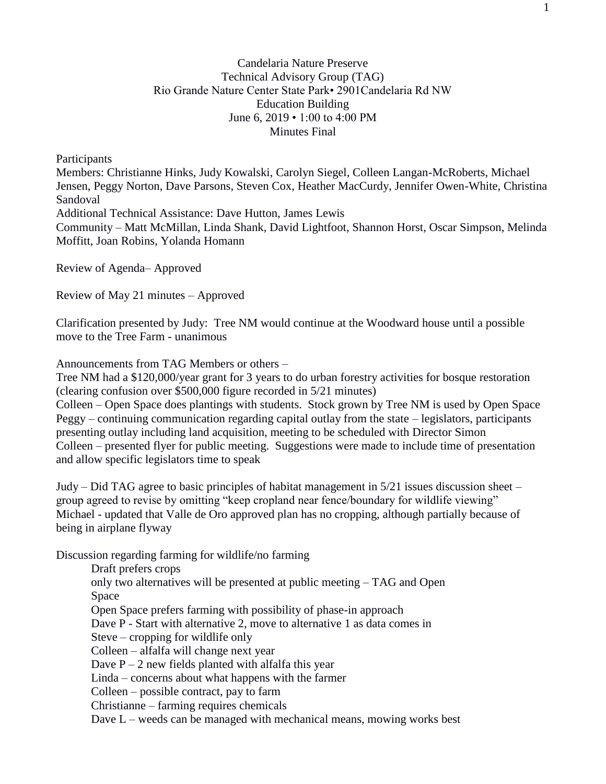## Candelaria Nature Preserve Technical Advisory Group (TAG) Rio Grande Nature Center State Park• 2901Candelaria Rd NW Education Building June 6, 2019 • 1:00 to 4:00 PM Minutes Final

Participants

Members: Christianne Hinks, Judy Kowalski, Carolyn Siegel, Colleen Langan-McRoberts, Michael Jensen, Peggy Norton, Dave Parsons, Steven Cox, Heather MacCurdy, Jennifer Owen-White, Christina Sandoval

Additional Technical Assistance: Dave Hutton, James Lewis

Community – Matt McMillan, Linda Shank, David Lightfoot, Shannon Horst, Oscar Simpson, Melinda Moffitt, Joan Robins, Yolanda Homann

Review of Agenda– Approved

Review of May 21 minutes – Approved

Clarification presented by Judy: Tree NM would continue at the Woodward house until a possible move to the Tree Farm - unanimous

Announcements from TAG Members or others –

Tree NM had a \$120,000/year grant for 3 years to do urban forestry activities for bosque restoration (clearing confusion over \$500,000 figure recorded in 5/21 minutes)

Colleen – Open Space does plantings with students. Stock grown by Tree NM is used by Open Space Peggy – continuing communication regarding capital outlay from the state – legislators, participants presenting outlay including land acquisition, meeting to be scheduled with Director Simon Colleen – presented flyer for public meeting. Suggestions were made to include time of presentation and allow specific legislators time to speak

Judy – Did TAG agree to basic principles of habitat management in 5/21 issues discussion sheet – group agreed to revise by omitting "keep cropland near fence/boundary for wildlife viewing" Michael - updated that Valle de Oro approved plan has no cropping, although partially because of being in airplane flyway

Discussion regarding farming for wildlife/no farming

Draft prefers crops only two alternatives will be presented at public meeting – TAG and Open Space Open Space prefers farming with possibility of phase-in approach Dave P - Start with alternative 2, move to alternative 1 as data comes in Steve – cropping for wildlife only Colleen – alfalfa will change next year Dave  $P - 2$  new fields planted with alfalfa this year Linda – concerns about what happens with the farmer Colleen – possible contract, pay to farm Christianne – farming requires chemicals Dave L – weeds can be managed with mechanical means, mowing works best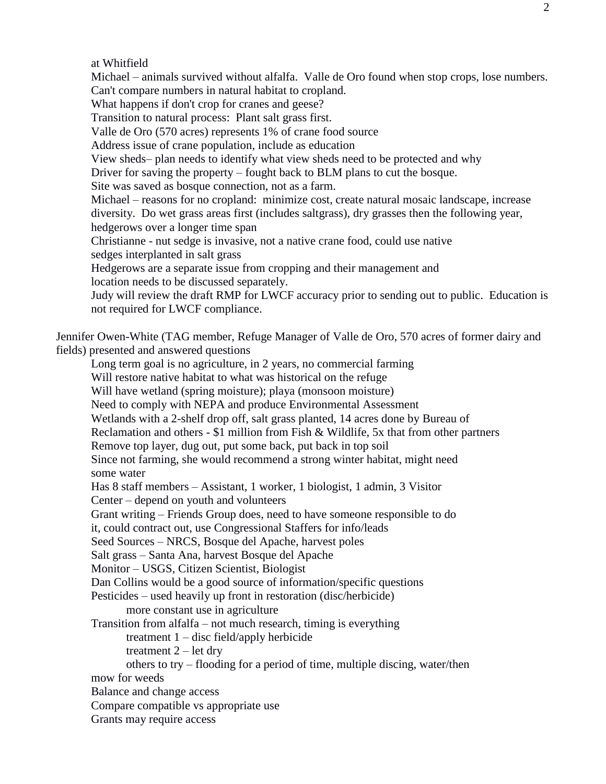at Whitfield

Michael – animals survived without alfalfa. Valle de Oro found when stop crops, lose numbers. Can't compare numbers in natural habitat to cropland.

What happens if don't crop for cranes and geese?

Transition to natural process: Plant salt grass first.

Valle de Oro (570 acres) represents 1% of crane food source

Address issue of crane population, include as education

View sheds– plan needs to identify what view sheds need to be protected and why

Driver for saving the property – fought back to BLM plans to cut the bosque.

Site was saved as bosque connection, not as a farm.

Michael – reasons for no cropland: minimize cost, create natural mosaic landscape, increase diversity. Do wet grass areas first (includes saltgrass), dry grasses then the following year, hedgerows over a longer time span

Christianne - nut sedge is invasive, not a native crane food, could use native sedges interplanted in salt grass

Hedgerows are a separate issue from cropping and their management and location needs to be discussed separately.

Judy will review the draft RMP for LWCF accuracy prior to sending out to public. Education is not required for LWCF compliance.

Jennifer Owen-White (TAG member, Refuge Manager of Valle de Oro, 570 acres of former dairy and fields) presented and answered questions

Long term goal is no agriculture, in 2 years, no commercial farming Will restore native habitat to what was historical on the refuge Will have wetland (spring moisture); playa (monsoon moisture) Need to comply with NEPA and produce Environmental Assessment Wetlands with a 2-shelf drop off, salt grass planted, 14 acres done by Bureau of Reclamation and others - \$1 million from Fish & Wildlife, 5x that from other partners Remove top layer, dug out, put some back, put back in top soil Since not farming, she would recommend a strong winter habitat, might need some water Has 8 staff members – Assistant, 1 worker, 1 biologist, 1 admin, 3 Visitor Center – depend on youth and volunteers Grant writing – Friends Group does, need to have someone responsible to do it, could contract out, use Congressional Staffers for info/leads Seed Sources – NRCS, Bosque del Apache, harvest poles Salt grass – Santa Ana, harvest Bosque del Apache Monitor – USGS, Citizen Scientist, Biologist Dan Collins would be a good source of information/specific questions Pesticides – used heavily up front in restoration (disc/herbicide) more constant use in agriculture Transition from alfalfa – not much research, timing is everything treatment 1 – disc field/apply herbicide treatment 2 – let dry others to try – flooding for a period of time, multiple discing, water/then mow for weeds Balance and change access Compare compatible vs appropriate use Grants may require access